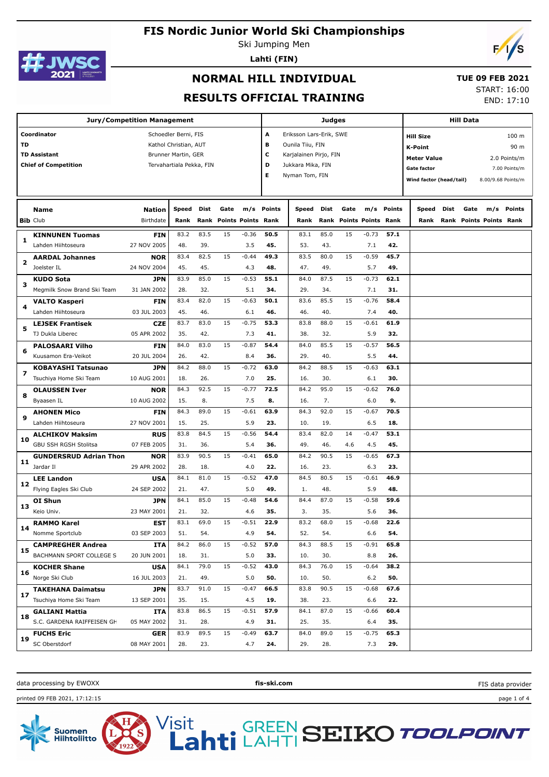

Ski Jumping Men **Lahti (FIN)**



# **NORMAL HILL INDIVIDUAL**

#### **TUE 09 FEB 2021**

#### **RESULTS OFFICIAL TRAINING**

START: 16:00 END: 17:10

| <b>Jury/Competition Management</b>                                                                                                                                          |                                |                            |               |             |                                 |         |                       |                                                                                                              | <b>Judges</b> |      |                                |            | <b>Hill Data</b> |                                                                                                                                                                                   |      |                                |        |  |
|-----------------------------------------------------------------------------------------------------------------------------------------------------------------------------|--------------------------------|----------------------------|---------------|-------------|---------------------------------|---------|-----------------------|--------------------------------------------------------------------------------------------------------------|---------------|------|--------------------------------|------------|------------------|-----------------------------------------------------------------------------------------------------------------------------------------------------------------------------------|------|--------------------------------|--------|--|
| Coordinator<br>Schoedler Berni, FIS<br>TD<br>Kathol Christian, AUT<br><b>TD Assistant</b><br>Brunner Martin, GER<br><b>Chief of Competition</b><br>Tervahartiala Pekka, FIN |                                |                            |               |             |                                 |         | A<br>в<br>c<br>D<br>E | Eriksson Lars-Erik, SWE<br>Ounila Tiiu, FIN<br>Karjalainen Pirjo, FIN<br>Jukkara Mika, FIN<br>Nyman Tom, FIN |               |      |                                |            |                  | 100 m<br><b>Hill Size</b><br><b>K-Point</b><br>90 m<br><b>Meter Value</b><br>2.0 Points/m<br><b>Gate factor</b><br>7.00 Points/m<br>Wind factor (head/tail)<br>8.00/9.68 Points/m |      |                                |        |  |
|                                                                                                                                                                             | <b>Name</b><br><b>Bib Club</b> | <b>Nation</b><br>Birthdate | Speed<br>Rank | <b>Dist</b> | Gate<br>Rank Points Points Rank | m/s     | Points                | Speed<br>Rank                                                                                                | Dist          | Gate | <b>Rank Points Points Rank</b> | m/s Points | Speed<br>Rank    | <b>Dist</b>                                                                                                                                                                       | Gate | m/s<br>Rank Points Points Rank | Points |  |
|                                                                                                                                                                             | <b>KINNUNEN Tuomas</b>         | <b>FIN</b>                 | 83.2          | 83.5        | 15                              | $-0.36$ | 50.5                  | 83.1                                                                                                         | 85.0          | 15   | $-0.73$                        | 57.1       |                  |                                                                                                                                                                                   |      |                                |        |  |
| 1                                                                                                                                                                           | Lahden Hiihtoseura             | 27 NOV 2005                | 48.           | 39.         |                                 | 3.5     | 45.                   | 53.                                                                                                          | 43.           |      | 7.1                            | 42.        |                  |                                                                                                                                                                                   |      |                                |        |  |
|                                                                                                                                                                             | <b>AARDAL Johannes</b>         | <b>NOR</b>                 | 83.4          | 82.5        | 15                              | $-0.44$ | 49.3                  | 83.5                                                                                                         | 80.0          | 15   | $-0.59$                        | 45.7       |                  |                                                                                                                                                                                   |      |                                |        |  |
| $\overline{\mathbf{z}}$                                                                                                                                                     | Joelster IL                    | 24 NOV 2004                | 45.           | 45.         |                                 | 4.3     | 48.                   | 47.                                                                                                          | 49.           |      | 5.7                            | 49.        |                  |                                                                                                                                                                                   |      |                                |        |  |
|                                                                                                                                                                             | <b>KUDO Sota</b>               | JPN                        | 83.9          | 85.0        | 15                              | $-0.53$ | 55.1                  | 84.0                                                                                                         | 87.5          | 15   | $-0.73$                        | 62.1       |                  |                                                                                                                                                                                   |      |                                |        |  |
| з                                                                                                                                                                           | Megmilk Snow Brand Ski Team    | 31 JAN 2002                | 28.           | 32.         |                                 | 5.1     | 34.                   | 29.                                                                                                          | 34.           |      | 7.1                            | 31.        |                  |                                                                                                                                                                                   |      |                                |        |  |
|                                                                                                                                                                             | <b>VALTO Kasperi</b>           | FIN                        | 83.4          | 82.0        | 15                              | $-0.63$ | 50.1                  | 83.6                                                                                                         | 85.5          | 15   | $-0.76$                        | 58.4       |                  |                                                                                                                                                                                   |      |                                |        |  |
| 4                                                                                                                                                                           | Lahden Hiihtoseura             | 03 JUL 2003                | 45.           | 46.         |                                 | 6.1     | 46.                   | 46.                                                                                                          | 40.           |      | 7.4                            | 40.        |                  |                                                                                                                                                                                   |      |                                |        |  |
|                                                                                                                                                                             | <b>LEJSEK Frantisek</b>        | <b>CZE</b>                 | 83.7          | 83.0        | 15                              | $-0.75$ | 53.3                  | 83.8                                                                                                         | 88.0          | 15   | $-0.61$                        | 61.9       |                  |                                                                                                                                                                                   |      |                                |        |  |
| 5                                                                                                                                                                           | TJ Dukla Liberec               | 05 APR 2002                | 35.           | 42.         |                                 | 7.3     | 41.                   | 38.                                                                                                          | 32.           |      | 5.9                            | 32.        |                  |                                                                                                                                                                                   |      |                                |        |  |
|                                                                                                                                                                             | <b>PALOSAARI Vilho</b>         | FIN                        | 84.0          | 83.0        | 15                              | $-0.87$ | 54.4                  | 84.0                                                                                                         | 85.5          | 15   | $-0.57$                        | 56.5       |                  |                                                                                                                                                                                   |      |                                |        |  |
| 6                                                                                                                                                                           | Kuusamon Era-Veikot            | 20 JUL 2004                | 26.           | 42.         |                                 | 8.4     | 36.                   | 29.                                                                                                          | 40.           |      | 5.5                            | 44.        |                  |                                                                                                                                                                                   |      |                                |        |  |
| 7                                                                                                                                                                           | KOBAYASHI Tatsunao             | JPN                        | 84.2          | 88.0        | 15                              | $-0.72$ | 63.0                  | 84.2                                                                                                         | 88.5          | 15   | $-0.63$                        | 63.1       |                  |                                                                                                                                                                                   |      |                                |        |  |
|                                                                                                                                                                             | Tsuchiya Home Ski Team         | 10 AUG 2001                | 18.           | 26.         |                                 | 7.0     | 25.                   | 16.                                                                                                          | 30.           |      | 6.1                            | 30.        |                  |                                                                                                                                                                                   |      |                                |        |  |
| 8                                                                                                                                                                           | <b>OLAUSSEN Iver</b>           | <b>NOR</b>                 | 84.3          | 92.5        | 15                              | $-0.77$ | 72.5                  | 84.2                                                                                                         | 95.0          | 15   | $-0.62$                        | 76.0       |                  |                                                                                                                                                                                   |      |                                |        |  |
|                                                                                                                                                                             | Byaasen IL                     | 10 AUG 2002                | 15.           | 8.          |                                 | 7.5     | 8.                    | 16.                                                                                                          | 7.            |      | 6.0                            | 9.         |                  |                                                                                                                                                                                   |      |                                |        |  |
| 9                                                                                                                                                                           | <b>AHONEN Mico</b>             | FIN                        | 84.3          | 89.0        | 15                              | $-0.61$ | 63.9                  | 84.3                                                                                                         | 92.0          | 15   | $-0.67$                        | 70.5       |                  |                                                                                                                                                                                   |      |                                |        |  |
|                                                                                                                                                                             | Lahden Hiihtoseura             | 27 NOV 2001                | 15.           | 25.         |                                 | 5.9     | 23.                   | 10.                                                                                                          | 19.           |      | 6.5                            | 18.        |                  |                                                                                                                                                                                   |      |                                |        |  |
|                                                                                                                                                                             | <b>ALCHIKOV Maksim</b>         | <b>RUS</b>                 | 83.8          | 84.5        | 15                              | $-0.56$ | 54.4                  | 83.4                                                                                                         | 82.0          | 14   | $-0.47$                        | 53.1       |                  |                                                                                                                                                                                   |      |                                |        |  |
| 10                                                                                                                                                                          | GBU SSH RGSH Stolitsa          | 07 FEB 2005                | 31.           | 36.         |                                 | 5.4     | 36.                   | 49.                                                                                                          | 46.           | 4.6  | 4.5                            | 45.        |                  |                                                                                                                                                                                   |      |                                |        |  |
|                                                                                                                                                                             | <b>GUNDERSRUD Adrian Thon</b>  | <b>NOR</b>                 | 83.9          | 90.5        | 15                              | $-0.41$ | 65.0                  | 84.2                                                                                                         | 90.5          | 15   | $-0.65$                        | 67.3       |                  |                                                                                                                                                                                   |      |                                |        |  |
| 11                                                                                                                                                                          | Jardar II                      | 29 APR 2002                | 28.           | 18.         |                                 | 4.0     | 22.                   | 16.                                                                                                          | 23.           |      | 6.3                            | 23.        |                  |                                                                                                                                                                                   |      |                                |        |  |
|                                                                                                                                                                             | <b>LEE Landon</b>              | <b>USA</b>                 | 84.1          | 81.0        | 15                              | $-0.52$ | 47.0                  | 84.5                                                                                                         | 80.5          | 15   | $-0.61$                        | 46.9       |                  |                                                                                                                                                                                   |      |                                |        |  |
| 12                                                                                                                                                                          | Flying Eagles Ski Club         | 24 SEP 2002                | 21.           | 47.         |                                 | 5.0     | 49.                   | 1.                                                                                                           | 48.           |      | 5.9                            | 48.        |                  |                                                                                                                                                                                   |      |                                |        |  |
| 13                                                                                                                                                                          | OI Shun                        | JPN                        | 84.1          | 85.0        | 15                              | $-0.48$ | 54.6                  | 84.4                                                                                                         | 87.0          | 15   | $-0.58$                        | 59.6       |                  |                                                                                                                                                                                   |      |                                |        |  |
|                                                                                                                                                                             | Keio Univ.                     | 23 MAY 2001                | 21.           | 32.         |                                 | 4.6     | 35.                   | 3.                                                                                                           | 35.           |      | 5.6                            | 36.        |                  |                                                                                                                                                                                   |      |                                |        |  |
| 14                                                                                                                                                                          | <b>RAMMO Karel</b>             | <b>EST</b>                 | 83.1          | 69.0        | 15                              | $-0.51$ | 22.9                  | 83.2                                                                                                         | 68.0          | 15   | $-0.68$                        | 22.6       |                  |                                                                                                                                                                                   |      |                                |        |  |
|                                                                                                                                                                             | Nomme Sportclub                | 03 SEP 2003                | 51.           | 54.         |                                 | 4.9     | 54.                   | 52.                                                                                                          | 54.           |      | 6.6                            | 54.        |                  |                                                                                                                                                                                   |      |                                |        |  |
| 15                                                                                                                                                                          | <b>CAMPREGHER Andrea</b>       | ITA                        | 84.2          | 86.0        | 15                              | $-0.52$ | 57.0                  | 84.3                                                                                                         | 88.5          | 15   | $-0.91$                        | 65.8       |                  |                                                                                                                                                                                   |      |                                |        |  |
|                                                                                                                                                                             | BACHMANN SPORT COLLEGE S       | 20 JUN 2001                | 18.           | 31.         |                                 | 5.0     | 33.                   | 10.                                                                                                          | 30.           |      | 8.8                            | 26.        |                  |                                                                                                                                                                                   |      |                                |        |  |
| 16                                                                                                                                                                          | <b>KOCHER Shane</b>            | <b>USA</b>                 | 84.1          | 79.0        | 15                              | $-0.52$ | 43.0                  | 84.3                                                                                                         | 76.0          | 15   | $-0.64$                        | 38.2       |                  |                                                                                                                                                                                   |      |                                |        |  |
|                                                                                                                                                                             | Norge Ski Club                 | 16 JUL 2003                | 21.           | 49.         |                                 | 5.0     | 50.                   | 10.                                                                                                          | 50.           |      | 6.2                            | 50.        |                  |                                                                                                                                                                                   |      |                                |        |  |
| 17                                                                                                                                                                          | <b>TAKEHANA Daimatsu</b>       | JPN                        | 83.7          | 91.0        | 15                              | $-0.47$ | 66.5                  | 83.8                                                                                                         | 90.5          | 15   | $-0.68$                        | 67.6       |                  |                                                                                                                                                                                   |      |                                |        |  |
|                                                                                                                                                                             | Tsuchiya Home Ski Team         | 13 SEP 2001                | 35.           | 15.         |                                 | 4.5     | 19.                   | 38.                                                                                                          | 23.           |      | 6.6                            | 22.        |                  |                                                                                                                                                                                   |      |                                |        |  |
| 18                                                                                                                                                                          | <b>GALIANI Mattia</b>          | ITA                        | 83.8          | 86.5        | 15                              | $-0.51$ | 57.9                  | 84.1                                                                                                         | 87.0          | 15   | $-0.66$                        | 60.4       |                  |                                                                                                                                                                                   |      |                                |        |  |
|                                                                                                                                                                             | S.C. GARDENA RAIFFEISEN GH     | 05 MAY 2002                | 31.           | 28.         |                                 | 4.9     | 31.                   | 25.                                                                                                          | 35.           |      | 6.4                            | 35.        |                  |                                                                                                                                                                                   |      |                                |        |  |
| 19                                                                                                                                                                          | <b>FUCHS Eric</b>              | <b>GER</b>                 | 83.9          | 89.5        | 15                              | $-0.49$ | 63.7                  | 84.0                                                                                                         | 89.0          | 15   | $-0.75$                        | 65.3       |                  |                                                                                                                                                                                   |      |                                |        |  |
|                                                                                                                                                                             | SC Oberstdorf                  | 08 MAY 2001                | 28.           | 23.         |                                 | 4.7     | 24.                   | 29.                                                                                                          | 28.           |      | 7.3                            | 29.        |                  |                                                                                                                                                                                   |      |                                |        |  |

data processing by EWOXX **fis-ski.com**

**GREEN**<br>LAHTI

Visit

printed 09 FEB 2021, 17:12:15 page 1 of 4



FIS data provider

**SEIKO TOOLPOINT**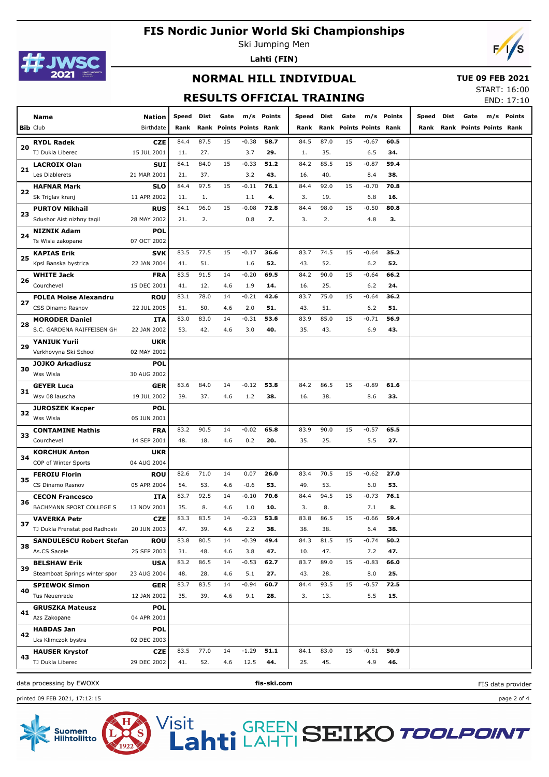

Ski Jumping Men **Lahti (FIN)**



### **NORMAL HILL INDIVIDUAL**

#### **TUE 09 FEB 2021**

## **RESULTS OFFICIAL TRAINING**

START: 16:00

FIS data provider

|    |                                 |               |       |      |                         |         |            | KESULIS UFFILIAL IKAINING |      |                         |         |            |            |      |                              | END: 17:10 |
|----|---------------------------------|---------------|-------|------|-------------------------|---------|------------|---------------------------|------|-------------------------|---------|------------|------------|------|------------------------------|------------|
|    | Name                            | <b>Nation</b> | Speed | Dist | Gate                    |         | m/s Points | Speed Dist                |      | Gate                    |         | m/s Points | Speed Dist | Gate |                              | m/s Points |
|    | <b>Bib Club</b>                 | Birthdate     | Rank  |      | Rank Points Points Rank |         |            | Rank                      |      | Rank Points Points Rank |         |            |            |      | Rank Rank Points Points Rank |            |
|    | <b>RYDL Radek</b>               | <b>CZE</b>    | 84.4  | 87.5 | 15                      | $-0.38$ | 58.7       | 84.5                      | 87.0 | 15                      | $-0.67$ | 60.5       |            |      |                              |            |
| 20 | TJ Dukla Liberec                | 15 JUL 2001   | 11.   | 27.  |                         | 3.7     | 29.        | 1.                        | 35.  |                         | 6.5     | 34.        |            |      |                              |            |
|    | <b>LACROIX Olan</b>             | <b>SUI</b>    | 84.1  | 84.0 | 15                      | $-0.33$ | 51.2       | 84.2                      | 85.5 | 15                      | $-0.87$ | 59.4       |            |      |                              |            |
| 21 | Les Diablerets                  | 21 MAR 2001   | 21.   | 37.  |                         | 3.2     | 43.        | 16.                       | 40.  |                         | 8.4     | 38.        |            |      |                              |            |
|    | <b>HAFNAR Mark</b>              | <b>SLO</b>    | 84.4  | 97.5 | 15                      | $-0.11$ | 76.1       | 84.4                      | 92.0 | 15                      | $-0.70$ | 70.8       |            |      |                              |            |
| 22 | Sk Triglav kranj                | 11 APR 2002   | 11.   | 1.   |                         | 1.1     | 4.         | 3.                        | 19.  |                         | 6.8     | 16.        |            |      |                              |            |
|    | <b>PURTOV Mikhail</b>           | <b>RUS</b>    | 84.1  | 96.0 | 15                      | $-0.08$ | 72.8       | 84.4                      | 98.0 | 15                      | $-0.50$ | 80.8       |            |      |                              |            |
| 23 | Sdushor Aist nizhny tagil       | 28 MAY 2002   | 21.   | 2.   |                         | 0.8     | 7.         | 3.                        | 2.   |                         | 4.8     | 3.         |            |      |                              |            |
|    | <b>NIZNIK Adam</b>              | <b>POL</b>    |       |      |                         |         |            |                           |      |                         |         |            |            |      |                              |            |
| 24 | Ts Wisla zakopane               | 07 OCT 2002   |       |      |                         |         |            |                           |      |                         |         |            |            |      |                              |            |
|    | <b>KAPIAS Erik</b>              | <b>SVK</b>    | 83.5  | 77.5 | 15                      | $-0.17$ | 36.6       | 83.7                      | 74.5 | 15                      | $-0.64$ | 35.2       |            |      |                              |            |
| 25 | Kpsl Banska bystrica            | 22 JAN 2004   | 41.   | 51.  |                         | 1.6     | 52.        | 43.                       | 52.  |                         | $6.2$   | 52.        |            |      |                              |            |
|    | <b>WHITE Jack</b>               | <b>FRA</b>    | 83.5  | 91.5 | 14                      | $-0.20$ | 69.5       | 84.2                      | 90.0 | 15                      | $-0.64$ | 66.2       |            |      |                              |            |
| 26 | Courchevel                      | 15 DEC 2001   | 41.   | 12.  | 4.6                     | 1.9     | 14.        | 16.                       | 25.  |                         | $6.2$   | 24.        |            |      |                              |            |
|    | <b>FOLEA Moise Alexandru</b>    | <b>ROU</b>    | 83.1  | 78.0 | 14                      | $-0.21$ | 42.6       | 83.7                      | 75.0 | 15                      | $-0.64$ | 36.2       |            |      |                              |            |
| 27 | CSS Dinamo Rasnov               | 22 JUL 2005   | 51.   | 50.  | 4.6                     | 2.0     | 51.        | 43.                       | 51.  |                         | 6.2     | 51.        |            |      |                              |            |
|    | <b>MORODER Daniel</b>           | ITA           | 83.0  | 83.0 | 14                      | $-0.31$ | 53.6       | 83.9                      | 85.0 | 15                      | $-0.71$ | 56.9       |            |      |                              |            |
| 28 | S.C. GARDENA RAIFFEISEN GH      | 22 JAN 2002   | 53.   | 42.  | 4.6                     | 3.0     | 40.        | 35.                       | 43.  |                         | 6.9     | 43.        |            |      |                              |            |
|    | <b>YANIUK Yurii</b>             | <b>UKR</b>    |       |      |                         |         |            |                           |      |                         |         |            |            |      |                              |            |
| 29 | Verkhovyna Ski School           | 02 MAY 2002   |       |      |                         |         |            |                           |      |                         |         |            |            |      |                              |            |
|    | <b>JOJKO Arkadiusz</b>          | <b>POL</b>    |       |      |                         |         |            |                           |      |                         |         |            |            |      |                              |            |
| 30 | Wss Wisla                       | 30 AUG 2002   |       |      |                         |         |            |                           |      |                         |         |            |            |      |                              |            |
|    | <b>GEYER Luca</b>               | GER           | 83.6  | 84.0 | 14                      | $-0.12$ | 53.8       | 84.2                      | 86.5 | 15                      | $-0.89$ | 61.6       |            |      |                              |            |
| 31 | Wsv 08 lauscha                  | 19 JUL 2002   | 39.   | 37.  | 4.6                     | 1.2     | 38.        | 16.                       | 38.  |                         | 8.6     | 33.        |            |      |                              |            |
|    | <b>JUROSZEK Kacper</b>          | <b>POL</b>    |       |      |                         |         |            |                           |      |                         |         |            |            |      |                              |            |
| 32 | Wss Wisla                       | 05 JUN 2001   |       |      |                         |         |            |                           |      |                         |         |            |            |      |                              |            |
|    | <b>CONTAMINE Mathis</b>         | <b>FRA</b>    | 83.2  | 90.5 | 14                      | $-0.02$ | 65.8       | 83.9                      | 90.0 | 15                      | $-0.57$ | 65.5       |            |      |                              |            |
| 33 | Courchevel                      | 14 SEP 2001   | 48.   | 18.  | 4.6                     | 0.2     | 20.        | 35.                       | 25.  |                         | 5.5     | 27.        |            |      |                              |            |
| 34 | <b>KORCHUK Anton</b>            | <b>UKR</b>    |       |      |                         |         |            |                           |      |                         |         |            |            |      |                              |            |
|    | COP of Winter Sports            | 04 AUG 2004   |       |      |                         |         |            |                           |      |                         |         |            |            |      |                              |            |
| 35 | <b>FEROIU Florin</b>            | <b>ROU</b>    | 82.6  | 71.0 | 14                      | 0.07    | 26.0       | 83.4                      | 70.5 | 15                      | $-0.62$ | 27.0       |            |      |                              |            |
|    | CS Dinamo Rasnov                | 05 APR 2004   | 54.   | 53.  | 4.6                     | $-0.6$  | 53.        | 49.                       | 53.  |                         | 6.0     | 53.        |            |      |                              |            |
| 36 | <b>CECON Francesco</b>          | ITA           | 83.7  | 92.5 | 14                      | $-0.10$ | 70.6       | 84.4                      | 94.5 | 15                      | $-0.73$ | 76.1       |            |      |                              |            |
|    | BACHMANN SPORT COLLEGE S        | 13 NOV 2001   | 35.   | 8.   | 4.6                     | 1.0     | 10.        | 3.                        | 8.   |                         | 7.1     | 8.         |            |      |                              |            |
| 37 | <b>VAVERKA Petr</b>             | <b>CZE</b>    | 83.3  | 83.5 | 14                      | $-0.23$ | 53.8       | 83.8                      | 86.5 | 15                      | $-0.66$ | 59.4       |            |      |                              |            |
|    | TJ Dukla Frenstat pod Radhost   | 20 JUN 2003   | 47.   | 39.  | 4.6                     | 2.2     | 38.        | 38.                       | 38.  |                         | 6.4     | 38.        |            |      |                              |            |
| 38 | <b>SANDULESCU Robert Stefan</b> | <b>ROU</b>    | 83.8  | 80.5 | 14                      | $-0.39$ | 49.4       | 84.3                      | 81.5 | 15                      | $-0.74$ | 50.2       |            |      |                              |            |
|    | As.CS Sacele                    | 25 SEP 2003   | 31.   | 48.  | 4.6                     | 3.8     | 47.        | 10.                       | 47.  |                         | 7.2     | 47.        |            |      |                              |            |
| 39 | <b>BELSHAW Erik</b>             | <b>USA</b>    | 83.2  | 86.5 | 14                      | $-0.53$ | 62.7       | 83.7                      | 89.0 | 15                      | $-0.83$ | 66.0       |            |      |                              |            |
|    | Steamboat Springs winter spor   | 23 AUG 2004   | 48.   | 28.  | 4.6                     | 5.1     | 27.        | 43.                       | 28.  |                         | 8.0     | 25.        |            |      |                              |            |
| 40 | <b>SPIEWOK Simon</b>            | <b>GER</b>    | 83.7  | 83.5 | 14                      | $-0.94$ | 60.7       | 84.4                      | 93.5 | 15                      | $-0.57$ | 72.5       |            |      |                              |            |
|    | Tus Neuenrade                   | 12 JAN 2002   | 35.   | 39.  | 4.6                     | 9.1     | 28.        | 3.                        | 13.  |                         | 5.5     | 15.        |            |      |                              |            |
| 41 | <b>GRUSZKA Mateusz</b>          | <b>POL</b>    |       |      |                         |         |            |                           |      |                         |         |            |            |      |                              |            |
|    | Azs Zakopane                    | 04 APR 2001   |       |      |                         |         |            |                           |      |                         |         |            |            |      |                              |            |
| 42 | <b>HABDAS Jan</b>               | <b>POL</b>    |       |      |                         |         |            |                           |      |                         |         |            |            |      |                              |            |
|    | Lks Klimczok bystra             | 02 DEC 2003   |       |      |                         |         |            |                           |      |                         |         |            |            |      |                              |            |
| 43 | <b>HAUSER Krystof</b>           | <b>CZE</b>    | 83.5  | 77.0 | 14                      | $-1.29$ | 51.1       | 84.1                      | 83.0 | 15                      | $-0.51$ | 50.9       |            |      |                              |            |
|    | TJ Dukla Liberec                | 29 DEC 2002   | 41.   | 52.  | 4.6                     | 12.5    | 44.        | 25.                       | 45.  |                         | 4.9     | 46.        |            |      |                              |            |
|    |                                 |               |       |      |                         |         |            |                           |      |                         |         |            |            |      |                              |            |

data processing by EWOXX **fis-ski.com**

printed 09 FEB 2021, 17:12:15 page 2 of 4

Suomen<br>Hiihtoliitto

Visit

GREEN<br>Fi LAHTI **SEIKO TOOLPOINT**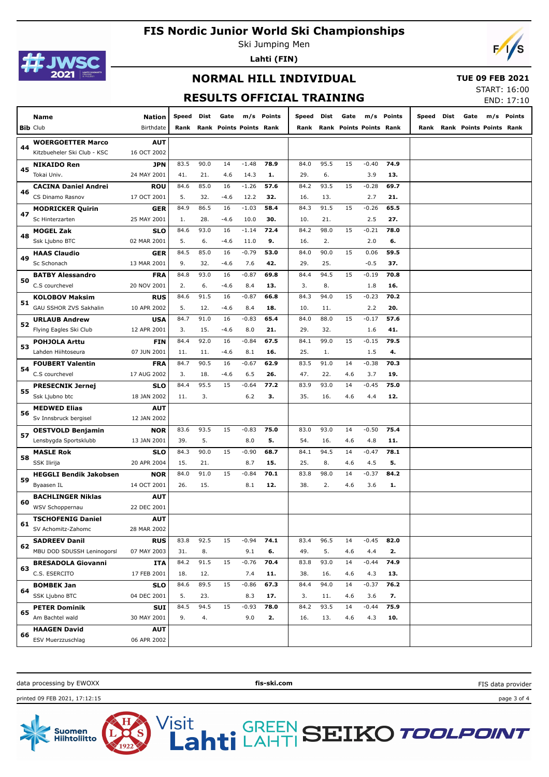

Ski Jumping Men **Lahti (FIN)**



#### **NORMAL HILL INDIVIDUAL**

#### **TUE 09 FEB 2021**

## **RESULTS OFFICIAL TRAINING**

START: 16:00

|    |                               |               |       |      |                         |         |            | KESULIS UFFILIAL IKAINING |      |      |                         |            |       |      |      |                         | END: 17:10 |
|----|-------------------------------|---------------|-------|------|-------------------------|---------|------------|---------------------------|------|------|-------------------------|------------|-------|------|------|-------------------------|------------|
|    | Name                          | <b>Nation</b> | Speed | Dist | Gate                    |         | m/s Points | Speed Dist                |      | Gate |                         | m/s Points | Speed | Dist | Gate |                         | m/s Points |
|    | <b>Bib Club</b>               | Birthdate     | Rank  |      | Rank Points Points Rank |         |            | Rank                      |      |      | Rank Points Points Rank |            | Rank  |      |      | Rank Points Points Rank |            |
|    | <b>WOERGOETTER Marco</b>      | <b>AUT</b>    |       |      |                         |         |            |                           |      |      |                         |            |       |      |      |                         |            |
| 44 | Kitzbueheler Ski Club - KSC   | 16 OCT 2002   |       |      |                         |         |            |                           |      |      |                         |            |       |      |      |                         |            |
|    | <b>NIKAIDO Ren</b>            | <b>JPN</b>    | 83.5  | 90.0 | 14                      | $-1.48$ | 78.9       | 84.0                      | 95.5 | 15   | $-0.40$                 | 74.9       |       |      |      |                         |            |
| 45 | Tokai Univ.                   | 24 MAY 2001   | 41.   | 21.  | 4.6                     | 14.3    | 1.         | 29.                       | 6.   |      | 3.9                     | 13.        |       |      |      |                         |            |
|    | <b>CACINA Daniel Andrei</b>   | <b>ROU</b>    | 84.6  | 85.0 | 16                      | $-1.26$ | 57.6       | 84.2                      | 93.5 | 15   | $-0.28$                 | 69.7       |       |      |      |                         |            |
| 46 | CS Dinamo Rasnov              | 17 OCT 2001   | 5.    | 32.  | $-4.6$                  | 12.2    | 32.        | 16.                       | 13.  |      | 2.7                     | 21.        |       |      |      |                         |            |
|    | <b>MODRICKER Quirin</b>       | GER           | 84.9  | 86.5 | 16                      | $-1.03$ | 58.4       | 84.3                      | 91.5 | 15   | $-0.26$                 | 65.5       |       |      |      |                         |            |
| 47 | Sc Hinterzarten               | 25 MAY 2001   | 1.    | 28.  | $-4.6$                  | 10.0    | 30.        | 10.                       | 21.  |      | 2.5                     | 27.        |       |      |      |                         |            |
|    | MOGEL Zak                     | <b>SLO</b>    | 84.6  | 93.0 | 16                      | $-1.14$ | 72.4       | 84.2                      | 98.0 | 15   | $-0.21$                 | 78.0       |       |      |      |                         |            |
| 48 | Ssk Ljubno BTC                | 02 MAR 2001   | 5.    | 6.   | $-4.6$                  | 11.0    | 9.         | 16.                       | 2.   |      | 2.0                     | 6.         |       |      |      |                         |            |
|    | <b>HAAS Claudio</b>           | GER           | 84.5  | 85.0 | 16                      | $-0.79$ | 53.0       | 84.0                      | 90.0 | 15   | 0.06                    | 59.5       |       |      |      |                         |            |
| 49 | Sc Schonach                   | 13 MAR 2001   | 9.    | 32.  | $-4.6$                  | 7.6     | 42.        | 29.                       | 25.  |      | $-0.5$                  | 37.        |       |      |      |                         |            |
|    | <b>BATBY Alessandro</b>       | <b>FRA</b>    | 84.8  | 93.0 | 16                      | $-0.87$ | 69.8       | 84.4                      | 94.5 | 15   | $-0.19$                 | 70.8       |       |      |      |                         |            |
| 50 | C.S courchevel                | 20 NOV 2001   | 2.    | 6.   | $-4.6$                  | 8.4     | 13.        | 3.                        | 8.   |      | 1.8                     | 16.        |       |      |      |                         |            |
|    | <b>KOLOBOV Maksim</b>         | <b>RUS</b>    | 84.6  | 91.5 | 16                      | $-0.87$ | 66.8       | 84.3                      | 94.0 | 15   | $-0.23$                 | 70.2       |       |      |      |                         |            |
| 51 | GAU SSHOR ZVS Sakhalin        | 10 APR 2002   | 5.    | 12.  | $-4.6$                  | 8.4     | 18.        | 10.                       | 11.  |      | 2.2                     | 20.        |       |      |      |                         |            |
|    | <b>URLAUB Andrew</b>          | USA           | 84.7  | 91.0 | 16                      | $-0.83$ | 65.4       | 84.0                      | 88.0 | 15   | $-0.17$                 | 57.6       |       |      |      |                         |            |
| 52 | Flying Eagles Ski Club        | 12 APR 2001   | 3.    | 15.  | $-4.6$                  | 8.0     | 21.        | 29.                       | 32.  |      | 1.6                     | 41.        |       |      |      |                         |            |
|    | <b>POHJOLA Arttu</b>          | FIN           | 84.4  | 92.0 | 16                      | $-0.84$ | 67.5       | 84.1                      | 99.0 | 15   | $-0.15$                 | 79.5       |       |      |      |                         |            |
| 53 | Lahden Hiihtoseura            | 07 JUN 2001   | 11.   | 11.  | $-4.6$                  | 8.1     | 16.        | 25.                       | 1.   |      | 1.5                     | 4.         |       |      |      |                         |            |
|    | <b>FOUBERT Valentin</b>       | <b>FRA</b>    | 84.7  | 90.5 | 16                      | $-0.67$ | 62.9       | 83.5                      | 91.0 | 14   | $-0.38$                 | 70.3       |       |      |      |                         |            |
| 54 | C.S courchevel                | 17 AUG 2002   | 3.    | 18.  | $-4.6$                  | 6.5     | 26.        | 47.                       | 22.  | 4.6  | 3.7                     | 19.        |       |      |      |                         |            |
|    | <b>PRESECNIK Jernej</b>       | <b>SLO</b>    | 84.4  | 95.5 | 15                      | $-0.64$ | 77.2       | 83.9                      | 93.0 | 14   | $-0.45$                 | 75.0       |       |      |      |                         |            |
| 55 | Ssk Ljubno btc                | 18 JAN 2002   | 11.   | 3.   |                         | $6.2$   | з.         | 35.                       | 16.  | 4.6  | 4.4                     | 12.        |       |      |      |                         |            |
|    | <b>MEDWED Elias</b>           | <b>AUT</b>    |       |      |                         |         |            |                           |      |      |                         |            |       |      |      |                         |            |
| 56 | Sv Innsbruck bergisel         | 12 JAN 2002   |       |      |                         |         |            |                           |      |      |                         |            |       |      |      |                         |            |
|    | <b>OESTVOLD Benjamin</b>      | <b>NOR</b>    | 83.6  | 93.5 | 15                      | $-0.83$ | 75.0       | 83.0                      | 93.0 | 14   | $-0.50$                 | 75.4       |       |      |      |                         |            |
| 57 | Lensbygda Sportsklubb         | 13 JAN 2001   | 39.   | 5.   |                         | 8.0     | 5.         | 54.                       | 16.  | 4.6  | 4.8                     | 11.        |       |      |      |                         |            |
| 58 | <b>MASLE Rok</b>              | <b>SLO</b>    | 84.3  | 90.0 | 15                      | $-0.90$ | 68.7       | 84.1                      | 94.5 | 14   | $-0.47$                 | 78.1       |       |      |      |                         |            |
|    | SSK Ilirija                   | 20 APR 2004   | 15.   | 21.  |                         | 8.7     | 15.        | 25.                       | 8.   | 4.6  | 4.5                     | 5.         |       |      |      |                         |            |
| 59 | <b>HEGGLI Bendik Jakobsen</b> | <b>NOR</b>    | 84.0  | 91.0 | 15                      | $-0.84$ | 70.1       | 83.8                      | 98.0 | 14   | $-0.37$                 | 84.2       |       |      |      |                         |            |
|    | Byaasen IL                    | 14 OCT 2001   | 26.   | 15.  |                         | 8.1     | 12.        | 38.                       | 2.   | 4.6  | 3.6                     | 1.         |       |      |      |                         |            |
| 60 | <b>BACHLINGER Niklas</b>      | AUT           |       |      |                         |         |            |                           |      |      |                         |            |       |      |      |                         |            |
|    | WSV Schoppernau               | 22 DEC 2001   |       |      |                         |         |            |                           |      |      |                         |            |       |      |      |                         |            |
| 61 | <b>TSCHOFENIG Daniel</b>      | <b>AUT</b>    |       |      |                         |         |            |                           |      |      |                         |            |       |      |      |                         |            |
|    | SV Achomitz-Zahomc            | 28 MAR 2002   |       |      |                         |         |            |                           |      |      |                         |            |       |      |      |                         |            |
| 62 | <b>SADREEV Danil</b>          | <b>RUS</b>    | 83.8  | 92.5 | 15                      | $-0.94$ | 74.1       | 83.4                      | 96.5 | 14   | $-0.45$                 | 82.0       |       |      |      |                         |            |
|    | MBU DOD SDUSSH Leninogorsl    | 07 MAY 2003   | 31.   | 8.   |                         | 9.1     | 6.         | 49.                       | 5.   | 4.6  | 4.4                     | 2.         |       |      |      |                         |            |
| 63 | <b>BRESADOLA Giovanni</b>     | ITA           | 84.2  | 91.5 | 15                      | $-0.76$ | 70.4       | 83.8                      | 93.0 | 14   | $-0.44$                 | 74.9       |       |      |      |                         |            |
|    | C.S. ESERCITO                 | 17 FEB 2001   | 18.   | 12.  |                         | 7.4     | 11.        | 38.                       | 16.  | 4.6  | 4.3                     | 13.        |       |      |      |                         |            |
| 64 | <b>BOMBEK Jan</b>             | <b>SLO</b>    | 84.6  | 89.5 | 15                      | $-0.86$ | 67.3       | 84.4                      | 94.0 | 14   | $-0.37$                 | 76.2       |       |      |      |                         |            |
|    | SSK Ljubno BTC                | 04 DEC 2001   | 5.    | 23.  |                         | 8.3     | 17.        | 3.                        | 11.  | 4.6  | 3.6                     | 7.         |       |      |      |                         |            |
| 65 | <b>PETER Dominik</b>          | SUI           | 84.5  | 94.5 | 15                      | $-0.93$ | 78.0       | 84.2                      | 93.5 | 14   | $-0.44$                 | 75.9       |       |      |      |                         |            |
|    | Am Bachtel wald               | 30 MAY 2001   | 9.    | 4.   |                         | 9.0     | 2.         | 16.                       | 13.  | 4.6  | 4.3                     | 10.        |       |      |      |                         |            |
| 66 | <b>HAAGEN David</b>           | <b>AUT</b>    |       |      |                         |         |            |                           |      |      |                         |            |       |      |      |                         |            |
|    | ESV Muerzzuschlag             | 06 APR 2002   |       |      |                         |         |            |                           |      |      |                         |            |       |      |      |                         |            |
|    |                               |               |       |      |                         |         |            |                           |      |      |                         |            |       |      |      |                         |            |

data processing by EWOXX **fis-ski.com**

Visit

FIS data provider

printed 09 FEB 2021, 17:12:15 page 3 of 4